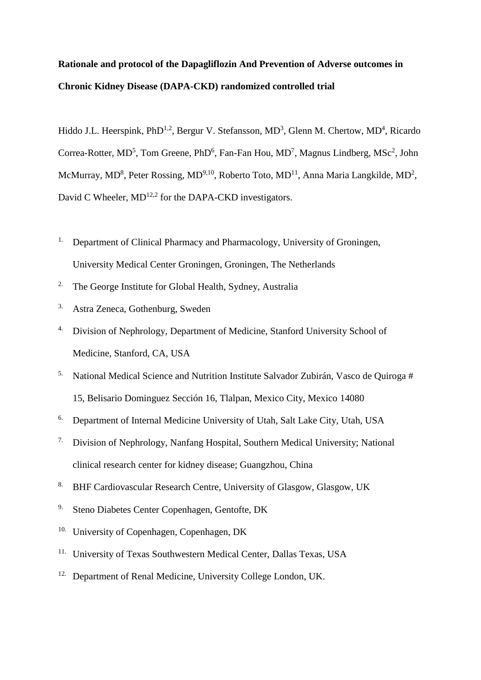# **Rationale and protocol of the Dapagliflozin And Prevention of Adverse outcomes in Chronic Kidney Disease (DAPA-CKD) randomized controlled trial**

Hiddo J.L. Heerspink, PhD<sup>1,2</sup>, Bergur V. Stefansson, MD<sup>3</sup>, Glenn M. Chertow, MD<sup>4</sup>, Ricardo Correa-Rotter,  $MD^5$ , Tom Greene, PhD<sup>6</sup>, Fan-Fan Hou,  $MD^7$ , Magnus Lindberg, MSc<sup>2</sup>, John McMurray, MD<sup>8</sup>, Peter Rossing, MD<sup>9,10</sup>, Roberto Toto, MD<sup>11</sup>, Anna Maria Langkilde, MD<sup>2</sup>, David C Wheeler,  $MD^{12,2}$  for the DAPA-CKD investigators.

- <sup>1.</sup> Department of Clinical Pharmacy and Pharmacology, University of Groningen, University Medical Center Groningen, Groningen, The Netherlands
- <sup>2.</sup> The George Institute for Global Health, Sydney, Australia
- 3. Astra Zeneca, Gothenburg, Sweden
- <sup>4.</sup> Division of Nephrology, Department of Medicine, Stanford University School of Medicine, Stanford, CA, USA
- 5. National Medical Science and Nutrition Institute Salvador Zubirán, Vasco de Quiroga # 15, Belisario Dominguez Sección 16, Tlalpan, Mexico City, Mexico 14080
- <sup>6.</sup> Department of Internal Medicine University of Utah, Salt Lake City, Utah, USA
- 7. Division of Nephrology, Nanfang Hospital, Southern Medical University; National clinical research center for kidney disease; Guangzhou, China
- 8. BHF Cardiovascular Research Centre, University of Glasgow, Glasgow, UK
- <sup>9.</sup> Steno Diabetes Center Copenhagen, Gentofte, DK
- 10. University of Copenhagen, Copenhagen, DK
- 11. University of Texas Southwestern Medical Center, Dallas Texas, USA
- 12. Department of Renal Medicine, University College London, UK.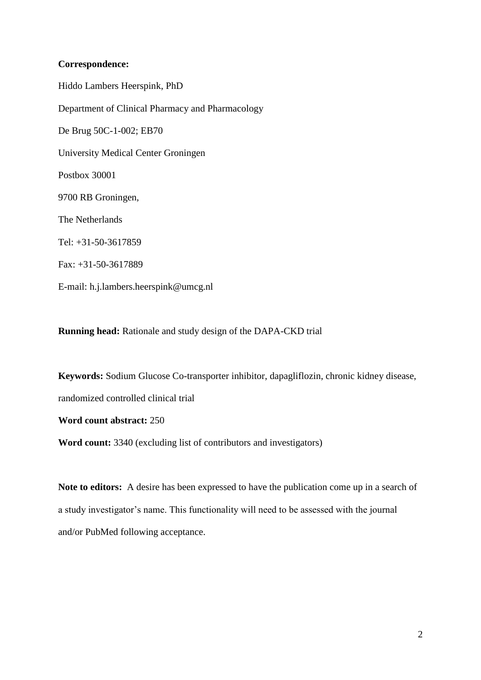# **Correspondence:**

Hiddo Lambers Heerspink, PhD Department of Clinical Pharmacy and Pharmacology De Brug 50C-1-002; EB70 University Medical Center Groningen Postbox 30001 9700 RB Groningen, The Netherlands Tel: +31-50-3617859 Fax: +31-50-3617889 E-mail: h.j.lambers.heerspink@umcg.nl

**Running head:** Rationale and study design of the DAPA-CKD trial

**Keywords:** Sodium Glucose Co-transporter inhibitor, dapagliflozin, chronic kidney disease,

randomized controlled clinical trial

**Word count abstract:** 250

**Word count:** 3340 (excluding list of contributors and investigators)

**Note to editors:** A desire has been expressed to have the publication come up in a search of a study investigator's name. This functionality will need to be assessed with the journal and/or PubMed following acceptance.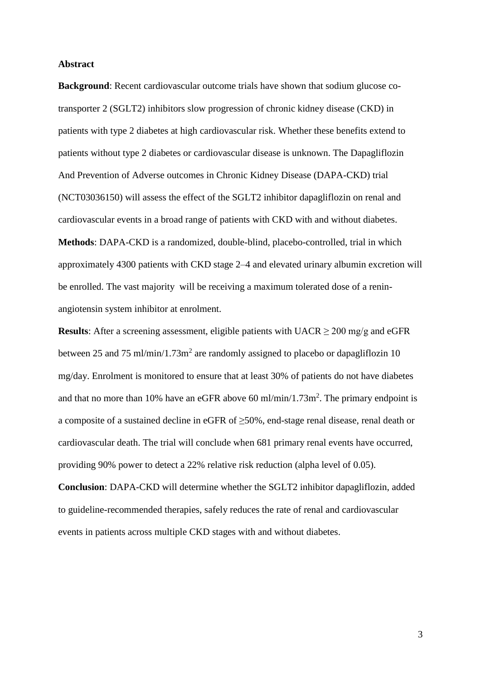#### **Abstract**

**Background**: Recent cardiovascular outcome trials have shown that sodium glucose cotransporter 2 (SGLT2) inhibitors slow progression of chronic kidney disease (CKD) in patients with type 2 diabetes at high cardiovascular risk. Whether these benefits extend to patients without type 2 diabetes or cardiovascular disease is unknown. The Dapagliflozin And Prevention of Adverse outcomes in Chronic Kidney Disease (DAPA-CKD) trial (NCT03036150) will assess the effect of the SGLT2 inhibitor dapagliflozin on renal and cardiovascular events in a broad range of patients with CKD with and without diabetes. **Methods**: DAPA-CKD is a randomized, double-blind, placebo-controlled, trial in which approximately 4300 patients with CKD stage 2–4 and elevated urinary albumin excretion will be enrolled. The vast majority will be receiving a maximum tolerated dose of a reninangiotensin system inhibitor at enrolment.

**Results**: After a screening assessment, eligible patients with  $UACR \ge 200$  mg/g and eGFR between 25 and 75 ml/min/1.73m<sup>2</sup> are randomly assigned to placebo or dapagliflozin 10 mg/day. Enrolment is monitored to ensure that at least 30% of patients do not have diabetes and that no more than 10% have an eGFR above 60 ml/min/1.73m<sup>2</sup>. The primary endpoint is a composite of a sustained decline in eGFR of ≥50%, end-stage renal disease, renal death or cardiovascular death. The trial will conclude when 681 primary renal events have occurred, providing 90% power to detect a 22% relative risk reduction (alpha level of 0.05).

**Conclusion**: DAPA-CKD will determine whether the SGLT2 inhibitor dapagliflozin, added to guideline-recommended therapies, safely reduces the rate of renal and cardiovascular events in patients across multiple CKD stages with and without diabetes.

3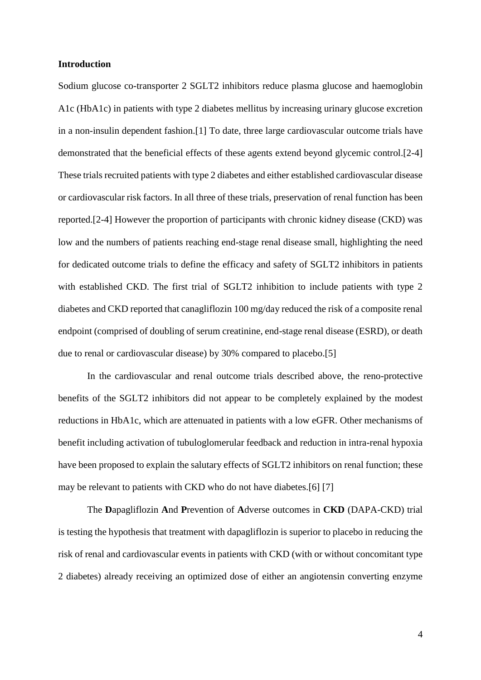#### **Introduction**

Sodium glucose co-transporter 2 SGLT2 inhibitors reduce plasma glucose and haemoglobin A1c (HbA1c) in patients with type 2 diabetes mellitus by increasing urinary glucose excretion in a non-insulin dependent fashion.[1] To date, three large cardiovascular outcome trials have demonstrated that the beneficial effects of these agents extend beyond glycemic control.[2-4] These trials recruited patients with type 2 diabetes and either established cardiovascular disease or cardiovascular risk factors. In all three of these trials, preservation of renal function has been reported.[2-4] However the proportion of participants with chronic kidney disease (CKD) was low and the numbers of patients reaching end-stage renal disease small, highlighting the need for dedicated outcome trials to define the efficacy and safety of SGLT2 inhibitors in patients with established CKD. The first trial of SGLT2 inhibition to include patients with type 2 diabetes and CKD reported that canagliflozin 100 mg/day reduced the risk of a composite renal endpoint (comprised of doubling of serum creatinine, end-stage renal disease (ESRD), or death due to renal or cardiovascular disease) by 30% compared to placebo.[5]

In the cardiovascular and renal outcome trials described above, the reno-protective benefits of the SGLT2 inhibitors did not appear to be completely explained by the modest reductions in HbA1c, which are attenuated in patients with a low eGFR. Other mechanisms of benefit including activation of tubuloglomerular feedback and reduction in intra-renal hypoxia have been proposed to explain the salutary effects of SGLT2 inhibitors on renal function; these may be relevant to patients with CKD who do not have diabetes.[6] [7]

The **D**apagliflozin **A**nd **P**revention of **A**dverse outcomes in **CKD** (DAPA-CKD) trial is testing the hypothesis that treatment with dapagliflozin is superior to placebo in reducing the risk of renal and cardiovascular events in patients with CKD (with or without concomitant type 2 diabetes) already receiving an optimized dose of either an angiotensin converting enzyme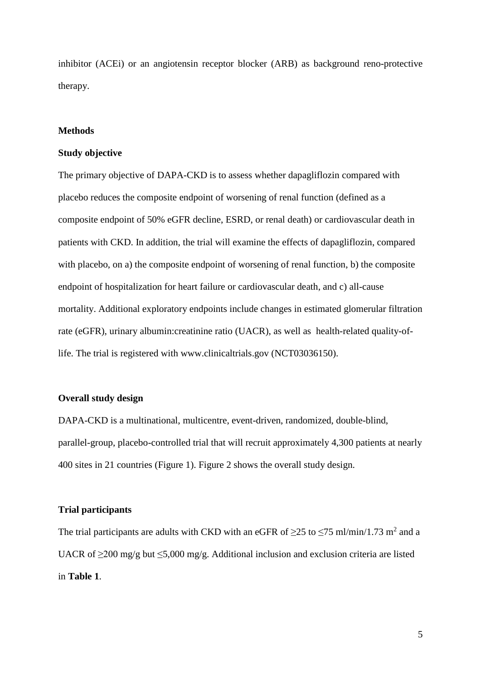inhibitor (ACEi) or an angiotensin receptor blocker (ARB) as background reno-protective therapy.

# **Methods**

#### **Study objective**

The primary objective of DAPA-CKD is to assess whether dapagliflozin compared with placebo reduces the composite endpoint of worsening of renal function (defined as a composite endpoint of 50% eGFR decline, ESRD, or renal death) or cardiovascular death in patients with CKD. In addition, the trial will examine the effects of dapagliflozin, compared with placebo, on a) the composite endpoint of worsening of renal function, b) the composite endpoint of hospitalization for heart failure or cardiovascular death, and c) all-cause mortality. Additional exploratory endpoints include changes in estimated glomerular filtration rate (eGFR), urinary albumin:creatinine ratio (UACR), as well as health-related quality-oflife. The trial is registered with www.clinicaltrials.gov (NCT03036150).

#### **Overall study design**

DAPA-CKD is a multinational, multicentre, event-driven, randomized, double-blind, parallel-group, placebo-controlled trial that will recruit approximately 4,300 patients at nearly 400 sites in 21 countries (Figure 1). Figure 2 shows the overall study design.

#### **Trial participants**

The trial participants are adults with CKD with an eGFR of  $\geq$ 25 to  $\leq$ 75 ml/min/1.73 m<sup>2</sup> and a UACR of  $\geq$ 200 mg/g but  $\leq$ 5,000 mg/g. Additional inclusion and exclusion criteria are listed in **Table 1**.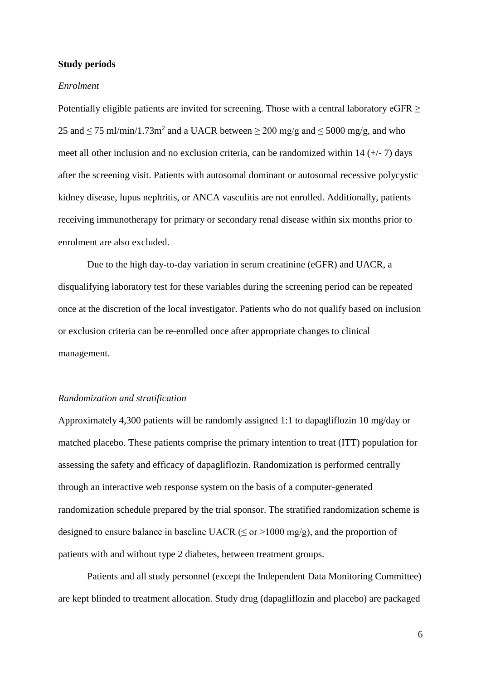#### **Study periods**

## *Enrolment*

Potentially eligible patients are invited for screening. Those with a central laboratory eGFR  $\geq$ 25 and  $\leq$  75 ml/min/1.73m<sup>2</sup> and a UACR between  $\geq$  200 mg/g and  $\leq$  5000 mg/g, and who meet all other inclusion and no exclusion criteria, can be randomized within 14 (+/- 7) days after the screening visit. Patients with autosomal dominant or autosomal recessive polycystic kidney disease, lupus nephritis, or ANCA vasculitis are not enrolled. Additionally, patients receiving immunotherapy for primary or secondary renal disease within six months prior to enrolment are also excluded.

Due to the high day-to-day variation in serum creatinine (eGFR) and UACR, a disqualifying laboratory test for these variables during the screening period can be repeated once at the discretion of the local investigator. Patients who do not qualify based on inclusion or exclusion criteria can be re-enrolled once after appropriate changes to clinical management.

## *Randomization and stratification*

Approximately 4,300 patients will be randomly assigned 1:1 to dapagliflozin 10 mg/day or matched placebo. These patients comprise the primary intention to treat (ITT) population for assessing the safety and efficacy of dapagliflozin. Randomization is performed centrally through an interactive web response system on the basis of a computer-generated randomization schedule prepared by the trial sponsor. The stratified randomization scheme is designed to ensure balance in baseline UACR ( $\leq$  or >1000 mg/g), and the proportion of patients with and without type 2 diabetes, between treatment groups.

Patients and all study personnel (except the Independent Data Monitoring Committee) are kept blinded to treatment allocation. Study drug (dapagliflozin and placebo) are packaged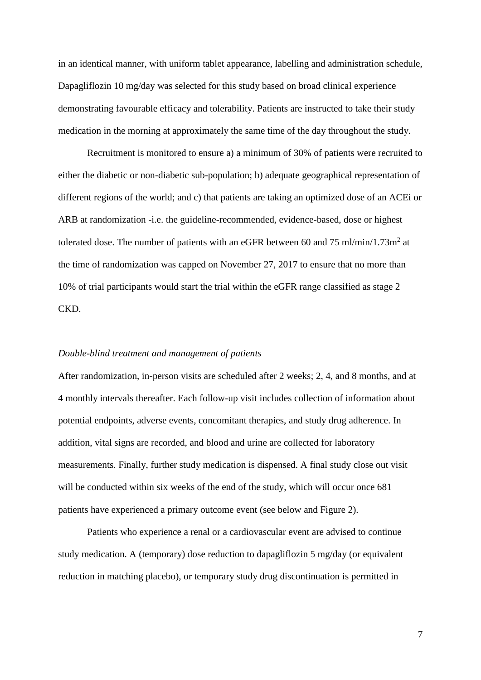in an identical manner, with uniform tablet appearance, labelling and administration schedule, Dapagliflozin 10 mg/day was selected for this study based on broad clinical experience demonstrating favourable efficacy and tolerability. Patients are instructed to take their study medication in the morning at approximately the same time of the day throughout the study.

Recruitment is monitored to ensure a) a minimum of 30% of patients were recruited to either the diabetic or non-diabetic sub-population; b) adequate geographical representation of different regions of the world; and c) that patients are taking an optimized dose of an ACEi or ARB at randomization -i.e. the guideline-recommended, evidence-based, dose or highest tolerated dose. The number of patients with an eGFR between 60 and 75 ml/min/1.73m<sup>2</sup> at the time of randomization was capped on November 27, 2017 to ensure that no more than 10% of trial participants would start the trial within the eGFR range classified as stage 2 CKD.

#### *Double-blind treatment and management of patients*

After randomization, in-person visits are scheduled after 2 weeks; 2, 4, and 8 months, and at 4 monthly intervals thereafter. Each follow-up visit includes collection of information about potential endpoints, adverse events, concomitant therapies, and study drug adherence. In addition, vital signs are recorded, and blood and urine are collected for laboratory measurements. Finally, further study medication is dispensed. A final study close out visit will be conducted within six weeks of the end of the study, which will occur once 681 patients have experienced a primary outcome event (see below and Figure 2).

Patients who experience a renal or a cardiovascular event are advised to continue study medication. A (temporary) dose reduction to dapagliflozin 5 mg/day (or equivalent reduction in matching placebo), or temporary study drug discontinuation is permitted in

7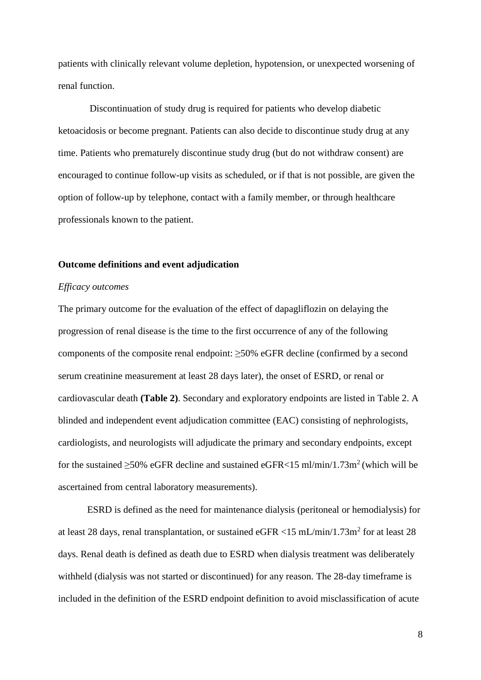patients with clinically relevant volume depletion, hypotension, or unexpected worsening of renal function.

Discontinuation of study drug is required for patients who develop diabetic ketoacidosis or become pregnant. Patients can also decide to discontinue study drug at any time. Patients who prematurely discontinue study drug (but do not withdraw consent) are encouraged to continue follow-up visits as scheduled, or if that is not possible, are given the option of follow-up by telephone, contact with a family member, or through healthcare professionals known to the patient.

### **Outcome definitions and event adjudication**

### *Efficacy outcomes*

The primary outcome for the evaluation of the effect of dapagliflozin on delaying the progression of renal disease is the time to the first occurrence of any of the following components of the composite renal endpoint: ≥50% eGFR decline (confirmed by a second serum creatinine measurement at least 28 days later), the onset of ESRD, or renal or cardiovascular death **(Table 2)**. Secondary and exploratory endpoints are listed in Table 2. A blinded and independent event adjudication committee (EAC) consisting of nephrologists, cardiologists, and neurologists will adjudicate the primary and secondary endpoints, except for the sustained  $\geq$ 50% eGFR decline and sustained eGFR<15 ml/min/1.73m<sup>2</sup> (which will be ascertained from central laboratory measurements).

ESRD is defined as the need for maintenance dialysis (peritoneal or hemodialysis) for at least 28 days, renal transplantation, or sustained eGFR <15 mL/min/1.73m<sup>2</sup> for at least 28 days. Renal death is defined as death due to ESRD when dialysis treatment was deliberately withheld (dialysis was not started or discontinued) for any reason. The 28-day timeframe is included in the definition of the ESRD endpoint definition to avoid misclassification of acute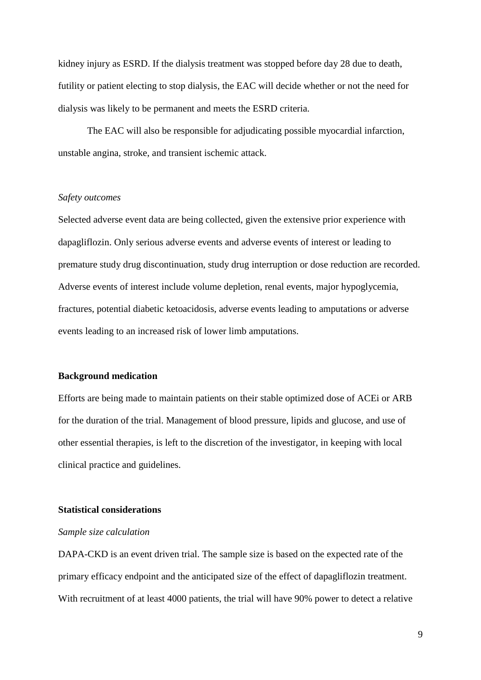kidney injury as ESRD. If the dialysis treatment was stopped before day 28 due to death, futility or patient electing to stop dialysis, the EAC will decide whether or not the need for dialysis was likely to be permanent and meets the ESRD criteria.

The EAC will also be responsible for adjudicating possible myocardial infarction, unstable angina, stroke, and transient ischemic attack.

#### *Safety outcomes*

Selected adverse event data are being collected, given the extensive prior experience with dapagliflozin. Only serious adverse events and adverse events of interest or leading to premature study drug discontinuation, study drug interruption or dose reduction are recorded. Adverse events of interest include volume depletion, renal events, major hypoglycemia, fractures, potential diabetic ketoacidosis, adverse events leading to amputations or adverse events leading to an increased risk of lower limb amputations.

#### **Background medication**

Efforts are being made to maintain patients on their stable optimized dose of ACEi or ARB for the duration of the trial. Management of blood pressure, lipids and glucose, and use of other essential therapies, is left to the discretion of the investigator, in keeping with local clinical practice and guidelines.

## **Statistical considerations**

## *Sample size calculation*

DAPA-CKD is an event driven trial. The sample size is based on the expected rate of the primary efficacy endpoint and the anticipated size of the effect of dapagliflozin treatment. With recruitment of at least 4000 patients, the trial will have 90% power to detect a relative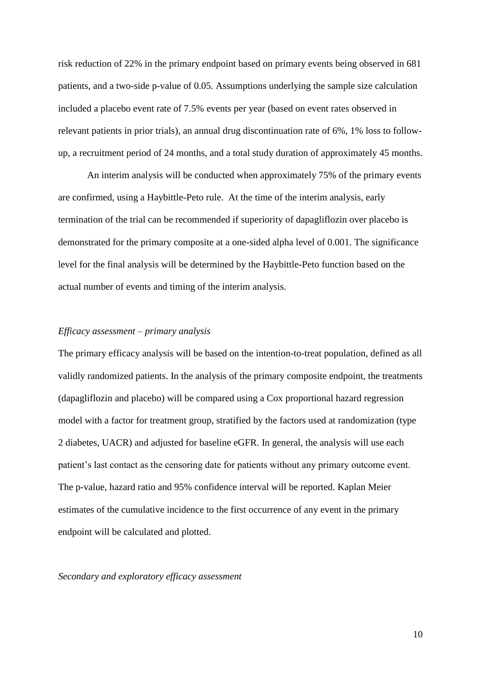risk reduction of 22% in the primary endpoint based on primary events being observed in 681 patients, and a two-side p-value of 0.05. Assumptions underlying the sample size calculation included a placebo event rate of 7.5% events per year (based on event rates observed in relevant patients in prior trials), an annual drug discontinuation rate of 6%, 1% loss to followup, a recruitment period of 24 months, and a total study duration of approximately 45 months.

An interim analysis will be conducted when approximately 75% of the primary events are confirmed, using a Haybittle-Peto rule. At the time of the interim analysis, early termination of the trial can be recommended if superiority of dapagliflozin over placebo is demonstrated for the primary composite at a one-sided alpha level of 0.001. The significance level for the final analysis will be determined by the Haybittle-Peto function based on the actual number of events and timing of the interim analysis.

# *Efficacy assessment – primary analysis*

The primary efficacy analysis will be based on the intention-to-treat population, defined as all validly randomized patients. In the analysis of the primary composite endpoint, the treatments (dapagliflozin and placebo) will be compared using a Cox proportional hazard regression model with a factor for treatment group, stratified by the factors used at randomization (type 2 diabetes, UACR) and adjusted for baseline eGFR. In general, the analysis will use each patient's last contact as the censoring date for patients without any primary outcome event. The p-value, hazard ratio and 95% confidence interval will be reported. Kaplan Meier estimates of the cumulative incidence to the first occurrence of any event in the primary endpoint will be calculated and plotted.

#### *Secondary and exploratory efficacy assessment*

10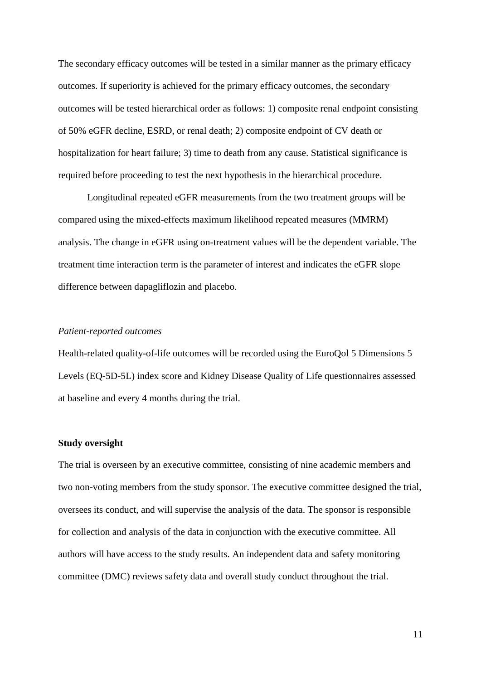The secondary efficacy outcomes will be tested in a similar manner as the primary efficacy outcomes. If superiority is achieved for the primary efficacy outcomes, the secondary outcomes will be tested hierarchical order as follows: 1) composite renal endpoint consisting of 50% eGFR decline, ESRD, or renal death; 2) composite endpoint of CV death or hospitalization for heart failure; 3) time to death from any cause. Statistical significance is required before proceeding to test the next hypothesis in the hierarchical procedure.

Longitudinal repeated eGFR measurements from the two treatment groups will be compared using the mixed-effects maximum likelihood repeated measures (MMRM) analysis. The change in eGFR using on-treatment values will be the dependent variable. The treatment time interaction term is the parameter of interest and indicates the eGFR slope difference between dapagliflozin and placebo.

## *Patient-reported outcomes*

Health-related quality-of-life outcomes will be recorded using the EuroQol 5 Dimensions 5 Levels (EQ-5D-5L) index score and Kidney Disease Quality of Life questionnaires assessed at baseline and every 4 months during the trial.

#### **Study oversight**

The trial is overseen by an executive committee, consisting of nine academic members and two non-voting members from the study sponsor. The executive committee designed the trial, oversees its conduct, and will supervise the analysis of the data. The sponsor is responsible for collection and analysis of the data in conjunction with the executive committee. All authors will have access to the study results. An independent data and safety monitoring committee (DMC) reviews safety data and overall study conduct throughout the trial.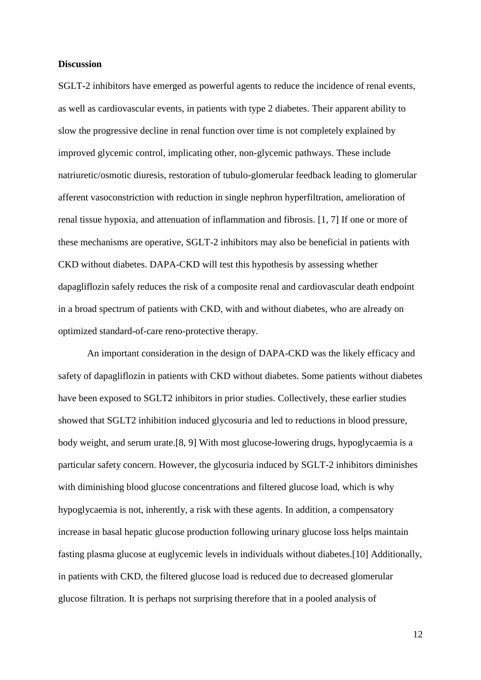#### **Discussion**

SGLT-2 inhibitors have emerged as powerful agents to reduce the incidence of renal events, as well as cardiovascular events, in patients with type 2 diabetes. Their apparent ability to slow the progressive decline in renal function over time is not completely explained by improved glycemic control, implicating other, non-glycemic pathways. These include natriuretic/osmotic diuresis, restoration of tubulo-glomerular feedback leading to glomerular afferent vasoconstriction with reduction in single nephron hyperfiltration, amelioration of renal tissue hypoxia, and attenuation of inflammation and fibrosis. [1, 7] If one or more of these mechanisms are operative, SGLT-2 inhibitors may also be beneficial in patients with CKD without diabetes. DAPA-CKD will test this hypothesis by assessing whether dapagliflozin safely reduces the risk of a composite renal and cardiovascular death endpoint in a broad spectrum of patients with CKD, with and without diabetes, who are already on optimized standard-of-care reno-protective therapy.

An important consideration in the design of DAPA-CKD was the likely efficacy and safety of dapagliflozin in patients with CKD without diabetes. Some patients without diabetes have been exposed to SGLT2 inhibitors in prior studies. Collectively, these earlier studies showed that SGLT2 inhibition induced glycosuria and led to reductions in blood pressure, body weight, and serum urate.[8, 9] With most glucose-lowering drugs, hypoglycaemia is a particular safety concern. However, the glycosuria induced by SGLT-2 inhibitors diminishes with diminishing blood glucose concentrations and filtered glucose load, which is why hypoglycaemia is not, inherently, a risk with these agents. In addition, a compensatory increase in basal hepatic glucose production following urinary glucose loss helps maintain fasting plasma glucose at euglycemic levels in individuals without diabetes.[10] Additionally, in patients with CKD, the filtered glucose load is reduced due to decreased glomerular glucose filtration. It is perhaps not surprising therefore that in a pooled analysis of

12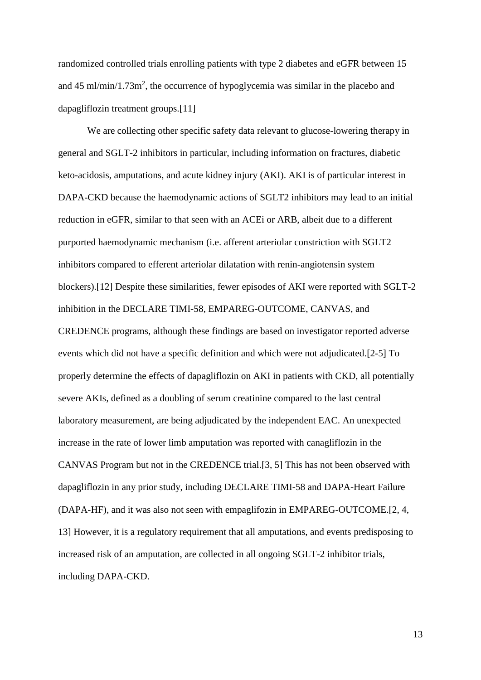randomized controlled trials enrolling patients with type 2 diabetes and eGFR between 15 and  $45 \text{ ml/min}/1.73 \text{ m}^2$ , the occurrence of hypoglycemia was similar in the placebo and dapagliflozin treatment groups.[11]

We are collecting other specific safety data relevant to glucose-lowering therapy in general and SGLT-2 inhibitors in particular, including information on fractures, diabetic keto-acidosis, amputations, and acute kidney injury (AKI). AKI is of particular interest in DAPA-CKD because the haemodynamic actions of SGLT2 inhibitors may lead to an initial reduction in eGFR, similar to that seen with an ACEi or ARB, albeit due to a different purported haemodynamic mechanism (i.e. afferent arteriolar constriction with SGLT2 inhibitors compared to efferent arteriolar dilatation with renin-angiotensin system blockers).[12] Despite these similarities, fewer episodes of AKI were reported with SGLT-2 inhibition in the DECLARE TIMI-58, EMPAREG-OUTCOME, CANVAS, and CREDENCE programs, although these findings are based on investigator reported adverse events which did not have a specific definition and which were not adjudicated.[2-5] To properly determine the effects of dapagliflozin on AKI in patients with CKD, all potentially severe AKIs, defined as a doubling of serum creatinine compared to the last central laboratory measurement, are being adjudicated by the independent EAC. An unexpected increase in the rate of lower limb amputation was reported with canagliflozin in the CANVAS Program but not in the CREDENCE trial.[3, 5] This has not been observed with dapagliflozin in any prior study, including DECLARE TIMI-58 and DAPA-Heart Failure (DAPA-HF), and it was also not seen with empaglifozin in EMPAREG-OUTCOME.[2, 4, 13] However, it is a regulatory requirement that all amputations, and events predisposing to increased risk of an amputation, are collected in all ongoing SGLT-2 inhibitor trials, including DAPA-CKD.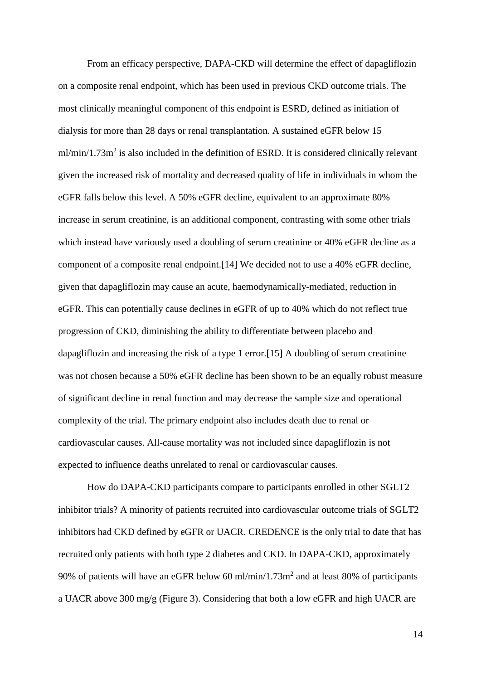From an efficacy perspective, DAPA-CKD will determine the effect of dapagliflozin on a composite renal endpoint, which has been used in previous CKD outcome trials. The most clinically meaningful component of this endpoint is ESRD, defined as initiation of dialysis for more than 28 days or renal transplantation. A sustained eGFR below 15  $ml/min/1.73m<sup>2</sup>$  is also included in the definition of ESRD. It is considered clinically relevant given the increased risk of mortality and decreased quality of life in individuals in whom the eGFR falls below this level. A 50% eGFR decline, equivalent to an approximate 80% increase in serum creatinine, is an additional component, contrasting with some other trials which instead have variously used a doubling of serum creatinine or 40% eGFR decline as a component of a composite renal endpoint.[14] We decided not to use a 40% eGFR decline, given that dapagliflozin may cause an acute, haemodynamically-mediated, reduction in eGFR. This can potentially cause declines in eGFR of up to 40% which do not reflect true progression of CKD, diminishing the ability to differentiate between placebo and dapagliflozin and increasing the risk of a type 1 error.[15] A doubling of serum creatinine was not chosen because a 50% eGFR decline has been shown to be an equally robust measure of significant decline in renal function and may decrease the sample size and operational complexity of the trial. The primary endpoint also includes death due to renal or cardiovascular causes. All-cause mortality was not included since dapagliflozin is not expected to influence deaths unrelated to renal or cardiovascular causes.

How do DAPA-CKD participants compare to participants enrolled in other SGLT2 inhibitor trials? A minority of patients recruited into cardiovascular outcome trials of SGLT2 inhibitors had CKD defined by eGFR or UACR. CREDENCE is the only trial to date that has recruited only patients with both type 2 diabetes and CKD. In DAPA-CKD, approximately 90% of patients will have an eGFR below 60 ml/min/1.73m<sup>2</sup> and at least 80% of participants a UACR above 300 mg/g (Figure 3). Considering that both a low eGFR and high UACR are

14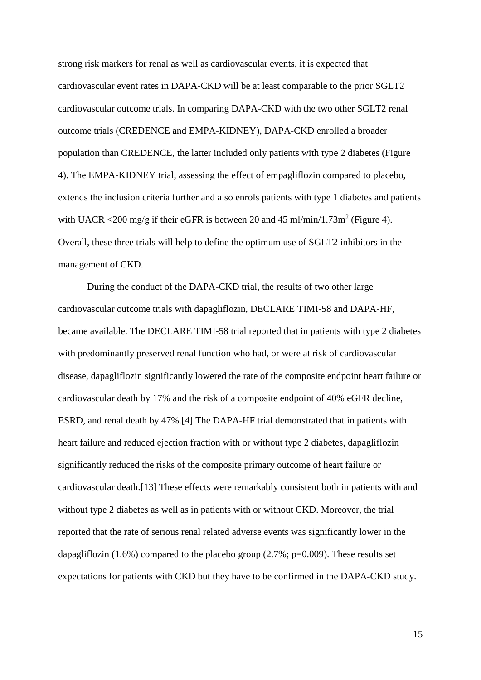strong risk markers for renal as well as cardiovascular events, it is expected that cardiovascular event rates in DAPA-CKD will be at least comparable to the prior SGLT2 cardiovascular outcome trials. In comparing DAPA-CKD with the two other SGLT2 renal outcome trials (CREDENCE and EMPA-KIDNEY), DAPA-CKD enrolled a broader population than CREDENCE, the latter included only patients with type 2 diabetes (Figure 4). The EMPA-KIDNEY trial, assessing the effect of empagliflozin compared to placebo, extends the inclusion criteria further and also enrols patients with type 1 diabetes and patients with UACR <200 mg/g if their eGFR is between 20 and 45 ml/min/1.73m<sup>2</sup> (Figure 4). Overall, these three trials will help to define the optimum use of SGLT2 inhibitors in the management of CKD.

During the conduct of the DAPA-CKD trial, the results of two other large cardiovascular outcome trials with dapagliflozin, DECLARE TIMI-58 and DAPA-HF, became available. The DECLARE TIMI-58 trial reported that in patients with type 2 diabetes with predominantly preserved renal function who had, or were at risk of cardiovascular disease, dapagliflozin significantly lowered the rate of the composite endpoint heart failure or cardiovascular death by 17% and the risk of a composite endpoint of 40% eGFR decline, ESRD, and renal death by 47%.[4] The DAPA-HF trial demonstrated that in patients with heart failure and reduced ejection fraction with or without type 2 diabetes, dapagliflozin significantly reduced the risks of the composite primary outcome of heart failure or cardiovascular death.[13] These effects were remarkably consistent both in patients with and without type 2 diabetes as well as in patients with or without CKD. Moreover, the trial reported that the rate of serious renal related adverse events was significantly lower in the dapagliflozin (1.6%) compared to the placebo group (2.7%; p=0.009). These results set expectations for patients with CKD but they have to be confirmed in the DAPA-CKD study.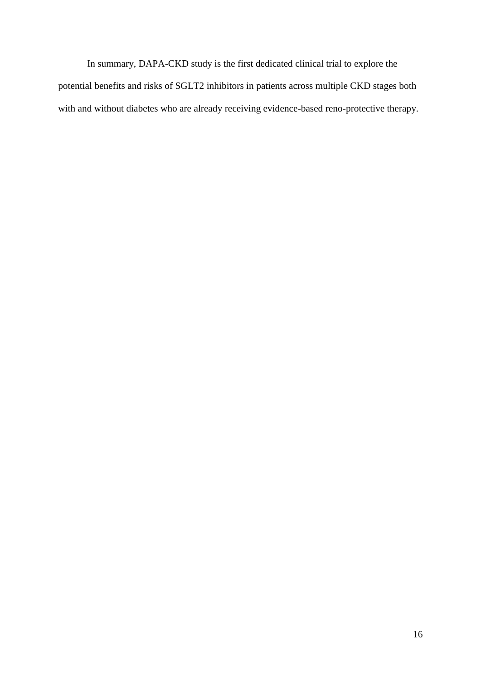In summary, DAPA-CKD study is the first dedicated clinical trial to explore the potential benefits and risks of SGLT2 inhibitors in patients across multiple CKD stages both with and without diabetes who are already receiving evidence-based reno-protective therapy.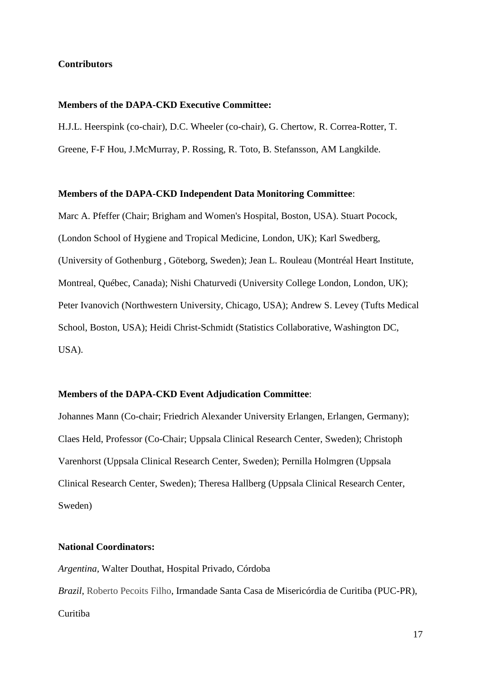## **Contributors**

#### **Members of the DAPA-CKD Executive Committee:**

H.J.L. Heerspink (co-chair), D.C. Wheeler (co-chair), G. Chertow, R. Correa-Rotter, T. Greene, F-F Hou, J.McMurray, P. Rossing, R. Toto, B. Stefansson, AM Langkilde.

#### **Members of the DAPA-CKD Independent Data Monitoring Committee**:

Marc A. Pfeffer (Chair; Brigham and Women's Hospital, Boston, USA). Stuart Pocock, (London School of Hygiene and Tropical Medicine, London, UK); Karl Swedberg, (University of Gothenburg , Göteborg, Sweden); Jean L. Rouleau (Montréal Heart Institute, Montreal, Québec, Canada); Nishi Chaturvedi (University College London, London, UK); Peter Ivanovich (Northwestern University, Chicago, USA); Andrew S. Levey (Tufts Medical School, Boston, USA); Heidi Christ-Schmidt (Statistics Collaborative, Washington DC, USA).

# **Members of the DAPA-CKD Event Adjudication Committee**:

Johannes Mann (Co-chair; Friedrich Alexander University Erlangen, Erlangen, Germany); Claes Held, Professor (Co-Chair; Uppsala Clinical Research Center, Sweden); Christoph Varenhorst (Uppsala Clinical Research Center, Sweden); Pernilla Holmgren (Uppsala Clinical Research Center, Sweden); Theresa Hallberg (Uppsala Clinical Research Center, Sweden)

## **National Coordinators:**

*Argentina,* Walter Douthat, Hospital Privado, Córdoba *Brazil*, Roberto Pecoits Filho, Irmandade Santa Casa de Misericórdia de Curitiba (PUC-PR), Curitiba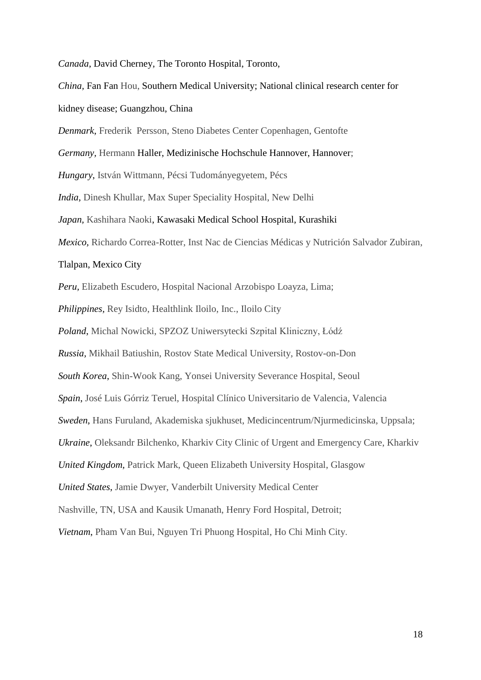*Canada*, David Cherney, The Toronto Hospital, Toronto,

*China,* Fan Fan Hou, Southern Medical University; National clinical research center for kidney disease; Guangzhou, China

*Denmark*, Frederik Persson, Steno Diabetes Center Copenhagen, Gentofte

*Germany,* Hermann Haller, Medizinische Hochschule Hannover, Hannover;

*Hungary*, István Wittmann, Pécsi Tudományegyetem, Pécs

*India,* Dinesh Khullar, Max Super Speciality Hospital, New Delhi

*Japan,* Kashihara Naoki, Kawasaki Medical School Hospital, Kurashiki

*Mexico,* Richardo Correa-Rotter, Inst Nac de Ciencias Médicas y Nutrición Salvador Zubiran,

#### Tlalpan, Mexico City

*Peru,* Elizabeth Escudero, Hospital Nacional Arzobispo Loayza, Lima;

*Philippines,* Rey Isidto, Healthlink Iloilo, Inc., Iloilo City

*Poland*, Michal Nowicki, SPZOZ Uniwersytecki Szpital Kliniczny, Łódź

*Russia,* Mikhail Batiushin, Rostov State Medical University, Rostov-on-Don

*South Korea*, Shin-Wook Kang, Yonsei University Severance Hospital, Seoul

*Spain*, José Luis Górriz Teruel, Hospital Clínico Universitario de Valencia, Valencia

*Sweden*, Hans Furuland, Akademiska sjukhuset, Medicincentrum/Njurmedicinska, Uppsala;

*Ukraine*, Oleksandr Bilchenko, Kharkiv City Clinic of Urgent and Emergency Care, Kharkiv

*United Kingdom,* Patrick Mark, Queen Elizabeth University Hospital, Glasgow

*United States*, Jamie Dwyer, Vanderbilt University Medical Center

Nashville, TN, USA and Kausik Umanath, Henry Ford Hospital, Detroit;

*Vietnam*, Pham Van Bui, Nguyen Tri Phuong Hospital, Ho Chi Minh City.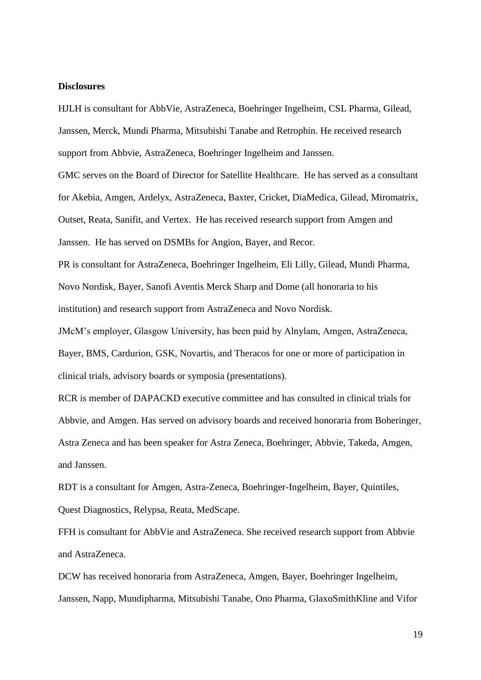#### **Disclosures**

HJLH is consultant for AbbVie, AstraZeneca, Boehringer Ingelheim, CSL Pharma, Gilead, Janssen, Merck, Mundi Pharma, Mitsubishi Tanabe and Retrophin. He received research support from Abbvie, AstraZeneca, Boehringer Ingelheim and Janssen.

GMC serves on the Board of Director for Satellite Healthcare. He has served as a consultant for Akebia, Amgen, Ardelyx, AstraZeneca, Baxter, Cricket, DiaMedica, Gilead, Miromatrix, Outset, Reata, Sanifit, and Vertex. He has received research support from Amgen and Janssen. He has served on DSMBs for Angion, Bayer, and Recor.

PR is consultant for AstraZeneca, Boehringer Ingelheim, Eli Lilly, Gilead, Mundi Pharma, Novo Nordisk, Bayer, Sanofi Aventis Merck Sharp and Dome (all honoraria to his institution) and research support from AstraZeneca and Novo Nordisk.

JMcM's employer, Glasgow University, has been paid by Alnylam, Amgen, AstraZeneca, Bayer, BMS, Cardurion, GSK, Novartis, and Theracos for one or more of participation in clinical trials, advisory boards or symposia (presentations).

RCR is member of DAPACKD executive committee and has consulted in clinical trials for Abbvie, and Amgen. Has served on advisory boards and received honoraria from Boheringer, Astra Zeneca and has been speaker for Astra Zeneca, Boehringer, Abbvie, Takeda, Amgen, and Janssen.

RDT is a consultant for Amgen, Astra-Zeneca, Boehringer-Ingelheim, Bayer, Quintiles, Quest Diagnostics, Relypsa, Reata, MedScape.

FFH is consultant for AbbVie and AstraZeneca. She received research support from Abbvie and AstraZeneca.

DCW has received honoraria from AstraZeneca, Amgen, Bayer, Boehringer Ingelheim, Janssen, Napp, Mundipharma, Mitsubishi Tanabe, Ono Pharma, GlaxoSmithKline and Vifor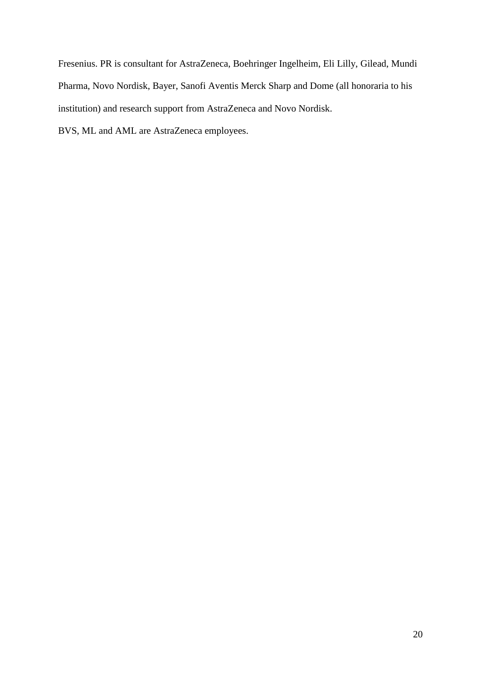Fresenius. PR is consultant for AstraZeneca, Boehringer Ingelheim, Eli Lilly, Gilead, Mundi Pharma, Novo Nordisk, Bayer, Sanofi Aventis Merck Sharp and Dome (all honoraria to his institution) and research support from AstraZeneca and Novo Nordisk.

BVS, ML and AML are AstraZeneca employees.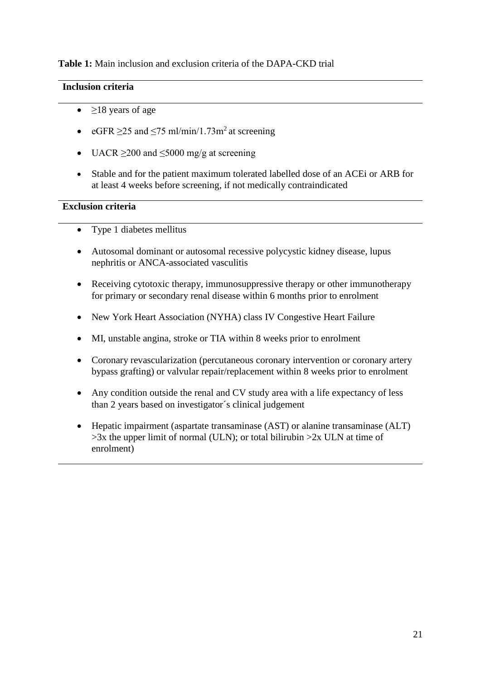# **Table 1:** Main inclusion and exclusion criteria of the DAPA-CKD trial

# **Inclusion criteria**

- $\bullet$   $\geq$ 18 years of age
- eGFR  $\geq$ 25 and  $\leq$ 75 ml/min/1.73m<sup>2</sup> at screening
- UACR  $\geq$ 200 and  $\leq$ 5000 mg/g at screening
- Stable and for the patient maximum tolerated labelled dose of an ACEi or ARB for at least 4 weeks before screening, if not medically contraindicated

# **Exclusion criteria**

- Type 1 diabetes mellitus
- Autosomal dominant or autosomal recessive polycystic kidney disease, lupus nephritis or ANCA-associated vasculitis
- Receiving cytotoxic therapy, immunosuppressive therapy or other immunotherapy for primary or secondary renal disease within 6 months prior to enrolment
- New York Heart Association (NYHA) class IV Congestive Heart Failure
- MI, unstable angina, stroke or TIA within 8 weeks prior to enrolment
- Coronary revascularization (percutaneous coronary intervention or coronary artery bypass grafting) or valvular repair/replacement within 8 weeks prior to enrolment
- Any condition outside the renal and CV study area with a life expectancy of less than 2 years based on investigator´s clinical judgement
- Hepatic impairment (aspartate transaminase (AST) or alanine transaminase (ALT)  $>3x$  the upper limit of normal (ULN); or total bilirubin  $>2x$  ULN at time of enrolment)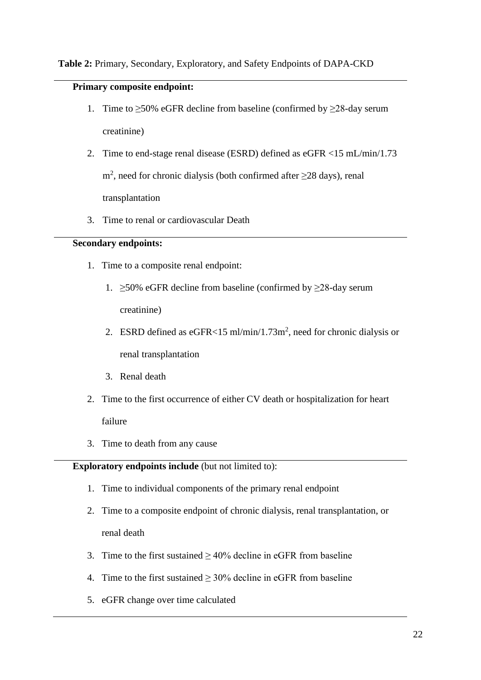**Table 2:** Primary, Secondary, Exploratory, and Safety Endpoints of DAPA-CKD

# **Primary composite endpoint:**

- 1. Time to  $\geq$ 50% eGFR decline from baseline (confirmed by  $\geq$ 28-day serum creatinine)
- 2. Time to end-stage renal disease (ESRD) defined as eGFR <15 mL/min/1.73 m<sup>2</sup>, need for chronic dialysis (both confirmed after  $\geq$ 28 days), renal transplantation
- 3. Time to renal or cardiovascular Death

# **Secondary endpoints:**

- 1. Time to a composite renal endpoint:
	- 1.  $\geq$ 50% eGFR decline from baseline (confirmed by  $\geq$ 28-day serum creatinine)
	- 2. ESRD defined as eGFR<15 ml/min/1.73m<sup>2</sup>, need for chronic dialysis or renal transplantation
	- 3. Renal death
- 2. Time to the first occurrence of either CV death or hospitalization for heart failure
- 3. Time to death from any cause

# **Exploratory endpoints include** (but not limited to):

- 1. Time to individual components of the primary renal endpoint
- 2. Time to a composite endpoint of chronic dialysis, renal transplantation, or renal death
- 3. Time to the first sustained  $> 40\%$  decline in eGFR from baseline
- 4. Time to the first sustained  $\geq$  30% decline in eGFR from baseline
- 5. eGFR change over time calculated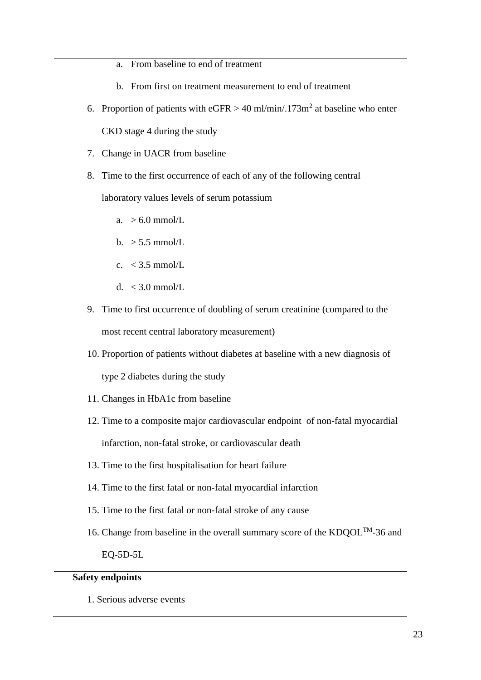- a. From baseline to end of treatment
- b. From first on treatment measurement to end of treatment
- 6. Proportion of patients with  $eGFR > 40$  ml/min/.173m<sup>2</sup> at baseline who enter CKD stage 4 during the study
- 7. Change in UACR from baseline
- 8. Time to the first occurrence of each of any of the following central laboratory values levels of serum potassium
	- a.  $> 6.0$  mmol/L.
	- b.  $> 5.5$  mmol/L
	- c.  $<$  3.5 mmol/L
	- d.  $<$  3.0 mmol/L
- 9. Time to first occurrence of doubling of serum creatinine (compared to the most recent central laboratory measurement)
- 10. Proportion of patients without diabetes at baseline with a new diagnosis of type 2 diabetes during the study
- 11. Changes in HbA1c from baseline
- 12. Time to a composite major cardiovascular endpoint of non-fatal myocardial infarction, non-fatal stroke, or cardiovascular death
- 13. Time to the first hospitalisation for heart failure
- 14. Time to the first fatal or non-fatal myocardial infarction
- 15. Time to the first fatal or non-fatal stroke of any cause
- 16. Change from baseline in the overall summary score of the KDQOLTM-36 and EQ-5D-5L

## **Safety endpoints**

1. Serious adverse events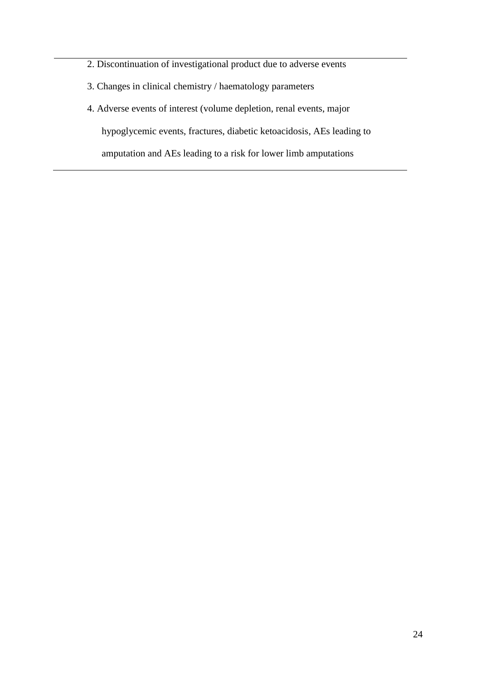- 2. Discontinuation of investigational product due to adverse events
- 3. Changes in clinical chemistry / haematology parameters
- 4. Adverse events of interest (volume depletion, renal events, major

hypoglycemic events, fractures, diabetic ketoacidosis, AEs leading to amputation and AEs leading to a risk for lower limb amputations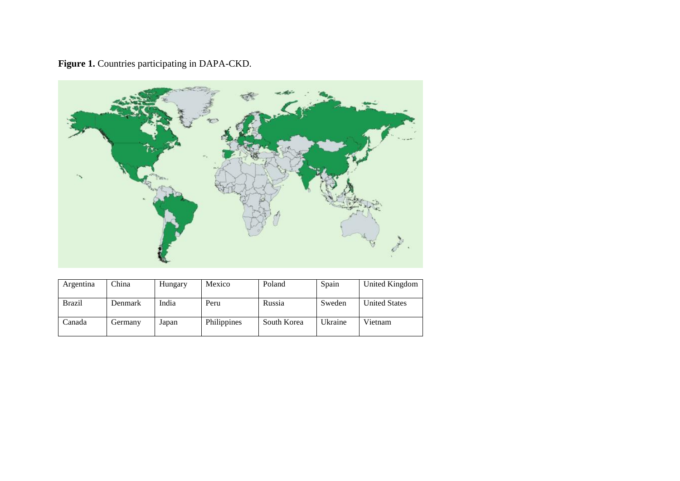**Figure 1.** Countries participating in DAPA-CKD.



| Argentina     | China   | Hungary | Mexico      | Poland      | Spain   | United Kingdom       |
|---------------|---------|---------|-------------|-------------|---------|----------------------|
| <b>Brazil</b> | Denmark | India   | Peru        | Russia      | Sweden  | <b>United States</b> |
| Canada        | Germany | Japan   | Philippines | South Korea | Ukraine | Vietnam              |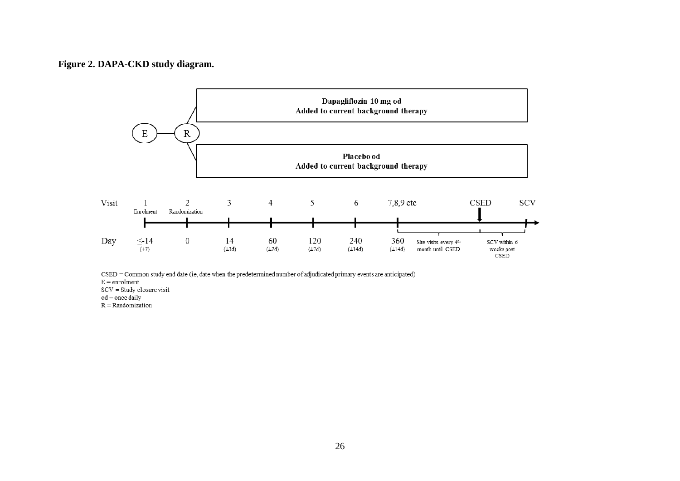# **Figure 2. DAPA-CKD study diagram.**



CSED = Common study end date (ie, date when the predetermined number of adjudicated primary events are anticipated)

 $SCV = Study closure visit$ 

 $od = once daily$ 

 $R = Randomization$ 

 $\mathbf{E} = \text{enrolment}$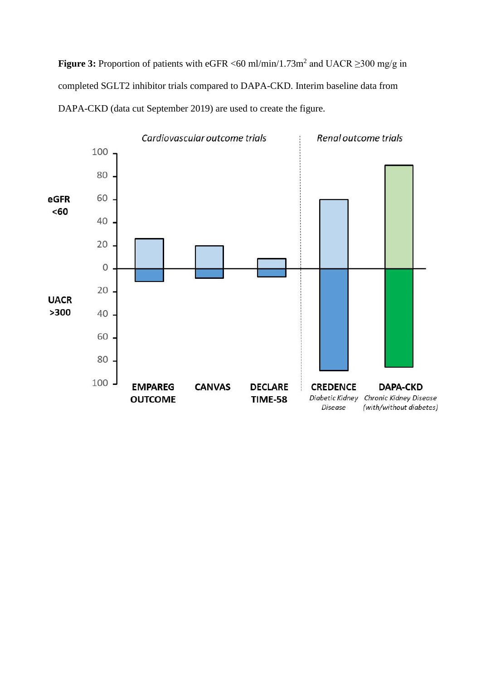**Figure 3:** Proportion of patients with eGFR <60 ml/min/1.73m<sup>2</sup> and UACR  $\geq$ 300 mg/g in completed SGLT2 inhibitor trials compared to DAPA-CKD. Interim baseline data from DAPA-CKD (data cut September 2019) are used to create the figure.

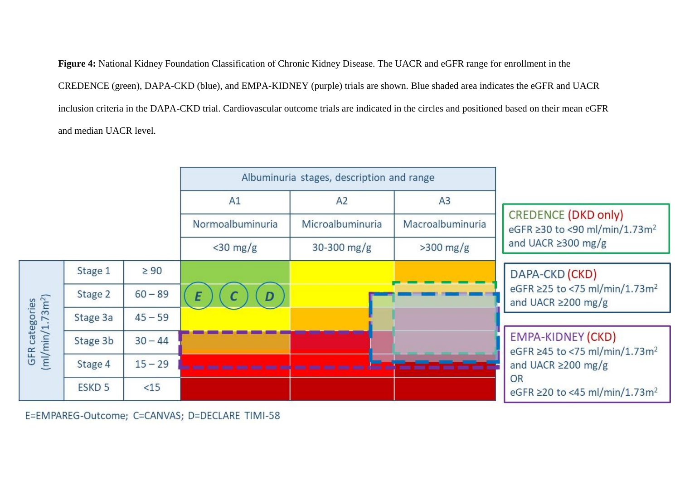**Figure 4:** National Kidney Foundation Classification of Chronic Kidney Disease. The UACR and eGFR range for enrollment in the CREDENCE (green), DAPA-CKD (blue), and EMPA-KIDNEY (purple) trials are shown. Blue shaded area indicates the eGFR and UACR inclusion criteria in the DAPA-CKD trial. Cardiovascular outcome trials are indicated in the circles and positioned based on their mean eGFR and median UACR level.

|                                                |                   |             | Albuminuria stages, description and range |                  |                          |                                                                                         |
|------------------------------------------------|-------------------|-------------|-------------------------------------------|------------------|--------------------------|-----------------------------------------------------------------------------------------|
|                                                |                   |             | A1                                        | A2               | A3                       |                                                                                         |
|                                                |                   |             | Normoalbuminuria                          | Microalbuminuria | Macroalbuminuria         | <b>CREDENCE (DKD only)</b><br>eGFR ≥30 to <90 ml/min/1.73m <sup>2</sup>                 |
|                                                |                   | $<$ 30 mg/g | $30 - 300$ mg/g                           | $>300$ mg/g      | and UACR $\geq$ 300 mg/g |                                                                                         |
| GFR categories<br>(ml/min/1.73m <sup>2</sup> ) | Stage 1           | $\geq 90$   | E<br>D                                    |                  |                          | DAPA-CKD (CKD)<br>eGFR ≥25 to <75 ml/min/1.73m <sup>2</sup><br>and UACR $\geq$ 200 mg/g |
|                                                | Stage 2           | $60 - 89$   |                                           |                  |                          |                                                                                         |
|                                                | Stage 3a          | $45 - 59$   |                                           |                  |                          |                                                                                         |
|                                                | Stage 3b          | $30 - 44$   |                                           |                  |                          | <b>EMPA-KIDNEY (CKD)</b><br>eGFR ≥45 to <75 ml/min/1.73m <sup>2</sup>                   |
|                                                | Stage 4           | $15 - 29$   |                                           |                  |                          | and UACR $\geq$ 200 mg/g                                                                |
|                                                | ESKD <sub>5</sub> | <15         |                                           |                  |                          | <b>OR</b><br>eGFR ≥20 to <45 ml/min/1.73m <sup>2</sup>                                  |

E=EMPAREG-Outcome; C=CANVAS; D=DECLARE TIMI-58